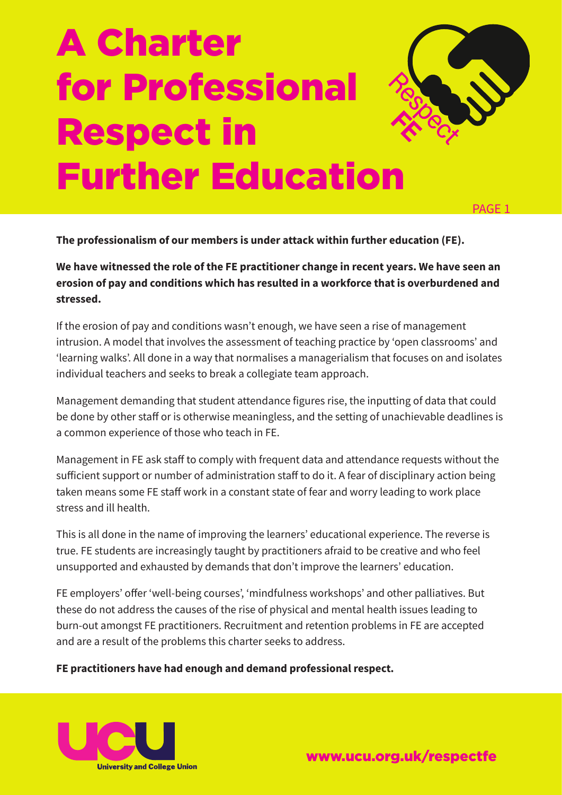# A Charter for Professional Respect in Further Education



PAGE 1

**The professionalism of our members is under attack within further education (FE).**

**We have witnessed the role of the FE practitioner change in recent years. We have seen an erosion of pay and conditions which has resulted in a workforce that is overburdened and stressed.**

If the erosion of pay and conditions wasn't enough, we have seen a rise of management intrusion. A model that involves the assessment of teaching practice by 'open classrooms' and 'learning walks'. All done in a way that normalises a managerialism that focuses on and isolates individual teachers and seeks to break a collegiate team approach.

Management demanding that student attendance figures rise, the inputting of data that could be done by other staff or is otherwise meaningless, and the setting of unachievable deadlines is a common experience of those who teach in FE.

Management in FE ask staff to comply with frequent data and attendance requests without the sufficient support or number of administration staff to do it. A fear of disciplinary action being taken means some FE staff work in a constant state of fear and worry leading to work place stress and ill health.

This is all done in the name of improving the learners' educational experience. The reverse is true. FE students are increasingly taught by practitioners afraid to be creative and who feel unsupported and exhausted by demands that don't improve the learners' education.

FE employers' offer 'well-being courses', 'mindfulness workshops' and other palliatives. But these do not address the causes of the rise of physical and mental health issues leading to burn-out amongst FE practitioners. Recruitment and retention problems in FE are accepted and are a result of the problems this charter seeks to address.

#### **FE practitioners have had enough and demand professional respect.**



www.ucu.org.uk/respectfe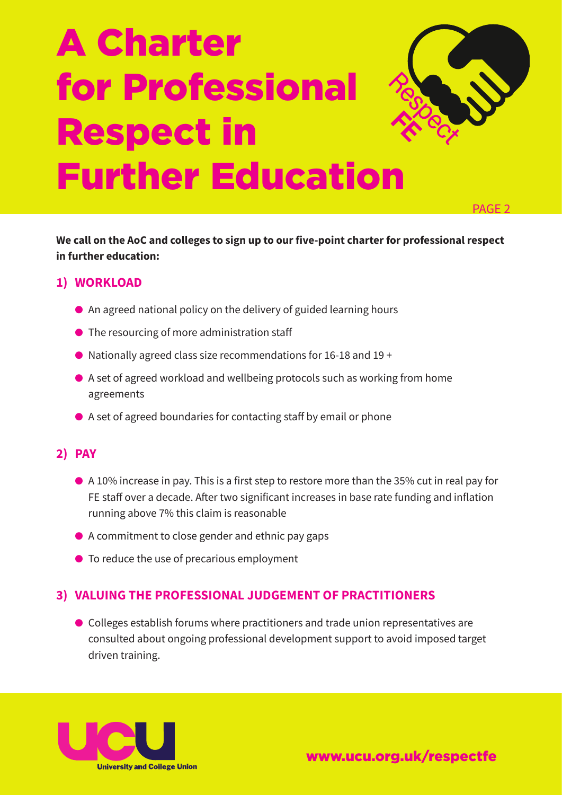# A Charter for Professional Respect in Further Education



PAGE 2

**We call on the AoC and colleges to sign up to our five-point charter for professional respect in further education:**

### **1) WORKLOAD**

- $\bullet$  An agreed national policy on the delivery of guided learning hours
- $\bullet$  The resourcing of more administration staff
- $\bullet$  Nationally agreed class size recommendations for 16-18 and 19 +
- A set of agreed workload and wellbeing protocols such as working from home agreements
- A set of agreed boundaries for contacting staff by email or phone

#### **2) PAY**

- $\bullet$  A 10% increase in pay. This is a first step to restore more than the 35% cut in real pay for FE staff over a decade. After two significant increases in base rate funding and inflation running above 7% this claim is reasonable
- $\bullet$  A commitment to close gender and ethnic pay gaps
- To reduce the use of precarious employment

#### **3) VALUING THE PROFESSIONAL JUDGEMENT OF PRACTITIONERS**

● Colleges establish forums where practitioners and trade union representatives are consulted about ongoing professional development support to avoid imposed target driven training.



www.ucu.org.uk/respectfe